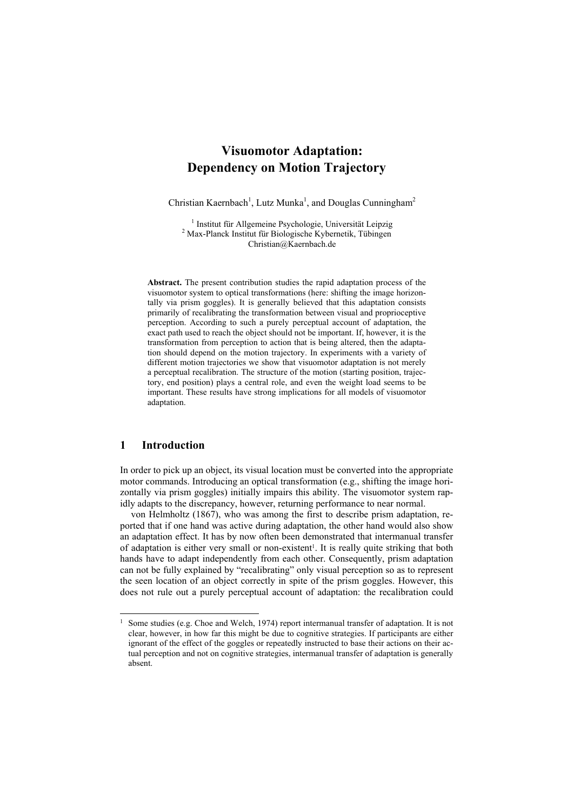# **Visuomotor Adaptation: Dependency on Motion Trajectory**

Christian Kaernbach<sup>1</sup>, Lutz Munka<sup>1</sup>, and Douglas Cunningham<sup>2</sup>

<sup>1</sup> Institut für Allgemeine Psychologie, Universität Leipzig <sup>2</sup> Max Planek Institut für Piologische Kubernatik. Tübingen Max-Planck Institut für Biologische Kybernetik, Tübingen Christian@Kaernbach.de

**Abstract.** The present contribution studies the rapid adaptation process of the visuomotor system to optical transformations (here: shifting the image horizontally via prism goggles). It is generally believed that this adaptation consists primarily of recalibrating the transformation between visual and proprioceptive perception. According to such a purely perceptual account of adaptation, the exact path used to reach the object should not be important. If, however, it is the transformation from perception to action that is being altered, then the adaptation should depend on the motion trajectory. In experiments with a variety of different motion trajectories we show that visuomotor adaptation is not merely a perceptual recalibration. The structure of the motion (starting position, trajectory, end position) plays a central role, and even the weight load seems to be important. These results have strong implications for all models of visuomotor adaptation.

### **1 Introduction**

-

In order to pick up an object, its visual location must be converted into the appropriate motor commands. Introducing an optical transformation (e.g., shifting the image horizontally via prism goggles) initially impairs this ability. The visuomotor system rapidly adapts to the discrepancy, however, returning performance to near normal.

von Helmholtz (1867), who was among the first to describe prism adaptation, reported that if one hand was active during adaptation, the other hand would also show an adaptation effect. It has by now often been demonstrated that intermanual transfer of adaptation is either very small or non-existent<sup>1</sup>. It is really quite striking that both hands have to adapt independently from each other. Consequently, prism adaptation can not be fully explained by "recalibrating" only visual perception so as to represent the seen location of an object correctly in spite of the prism goggles. However, this does not rule out a purely perceptual account o[f](#page-0-0) adaptation: the recalibration could

<span id="page-0-0"></span>Some studies (e.g. Choe and Welch, 1974) report intermanual transfer of adaptation. It is not clear, however, in how far this might be due to cognitive strategies. If participants are either ignorant of the effect of the goggles or repeatedly instructed to base their actions on their actual perception and not on cognitive strategies, intermanual transfer of adaptation is generally absent.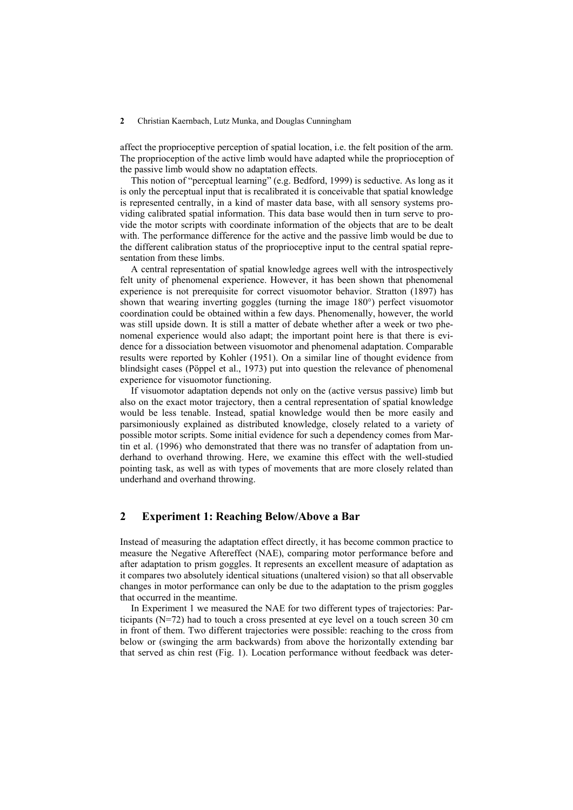#### **2** Christian Kaernbach, Lutz Munka, and Douglas Cunningham

affect the proprioceptive perception of spatial location, i.e. the felt position of the arm. The proprioception of the active limb would have adapted while the proprioception of the passive limb would show no adaptation effects.

This notion of "perceptual learning" (e.g. Bedford, 1999) is seductive. As long as it is only the perceptual input that is recalibrated it is conceivable that spatial knowledge is represented centrally, in a kind of master data base, with all sensory systems providing calibrated spatial information. This data base would then in turn serve to provide the motor scripts with coordinate information of the objects that are to be dealt with. The performance difference for the active and the passive limb would be due to the different calibration status of the proprioceptive input to the central spatial representation from these limbs.

A central representation of spatial knowledge agrees well with the introspectively felt unity of phenomenal experience. However, it has been shown that phenomenal experience is not prerequisite for correct visuomotor behavior. Stratton (1897) has shown that wearing inverting goggles (turning the image 180°) perfect visuomotor coordination could be obtained within a few days. Phenomenally, however, the world was still upside down. It is still a matter of debate whether after a week or two phenomenal experience would also adapt; the important point here is that there is evidence for a dissociation between visuomotor and phenomenal adaptation. Comparable results were reported by Kohler (1951). On a similar line of thought evidence from blindsight cases (Pöppel et al., 1973) put into question the relevance of phenomenal experience for visuomotor functioning.

If visuomotor adaptation depends not only on the (active versus passive) limb but also on the exact motor trajectory, then a central representation of spatial knowledge would be less tenable. Instead, spatial knowledge would then be more easily and parsimoniously explained as distributed knowledge, closely related to a variety of possible motor scripts. Some initial evidence for such a dependency comes from Martin et al. (1996) who demonstrated that there was no transfer of adaptation from underhand to overhand throwing. Here, we examine this effect with the well-studied pointing task, as well as with types of movements that are more closely related than underhand and overhand throwing.

### **2 Experiment 1: Reaching Below/Above a Bar**

Instead of measuring the adaptation effect directly, it has become common practice to measure the Negative Aftereffect (NAE), comparing motor performance before and after adaptation to prism goggles. It represents an excellent measure of adaptation as it compares two absolutely identical situations (unaltered vision) so that all observable changes in motor performance can only be due to the adaptation to the prism goggles that occurred in the meantime.

In Experiment 1 we measured the NAE for two different types of trajectories: Participants (N=72) had to touch a cross presented at eye level on a touch screen 30 cm in front of them. Two different trajectories were possible: reaching to the cross from below or (swinging the arm backwards) from above the horizontally extending bar that served as chin rest (Fig. 1). Location performance without feedback was deter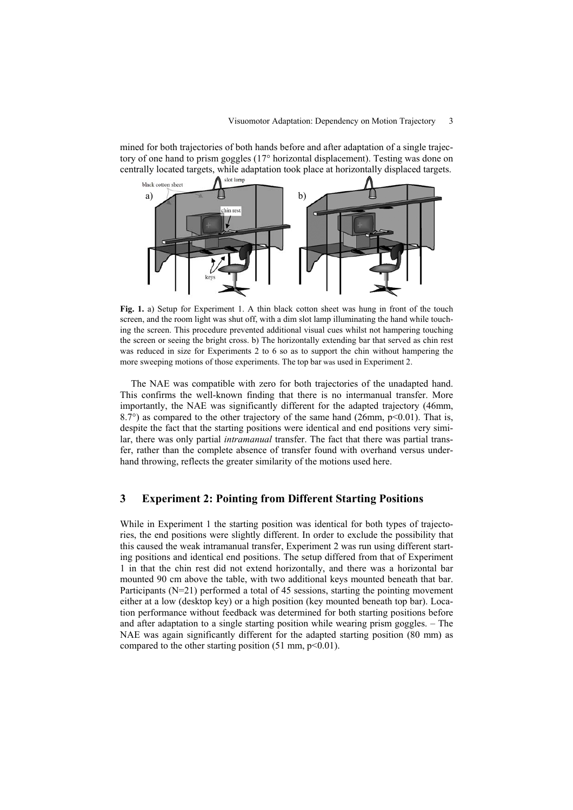mined for both trajectories of both hands before and after adaptation of a single trajectory of one hand to prism goggles (17° horizontal displacement). Testing was done on centrally located targets, while adaptation took place at horizontally displaced targets.



**Fig. 1.** a) Setup for Experiment 1. A thin black cotton sheet was hung in front of the touch screen, and the room light was shut off, with a dim slot lamp illuminating the hand while touching the screen. This procedure prevented additional visual cues whilst not hampering touching the screen or seeing the bright cross. b) The horizontally extending bar that served as chin rest was reduced in size for Experiments 2 to 6 so as to support the chin without hampering the more sweeping motions of those experiments. The top bar was used in Experiment 2.

The NAE was compatible with zero for both trajectories of the unadapted hand. This confirms the well-known finding that there is no intermanual transfer. More importantly, the NAE was significantly different for the adapted trajectory (46mm,  $8.7^{\circ}$ ) as compared to the other trajectory of the same hand (26mm, p<0.01). That is, despite the fact that the starting positions were identical and end positions very similar, there was only partial *intramanual* transfer. The fact that there was partial transfer, rather than the complete absence of transfer found with overhand versus underhand throwing, reflects the greater similarity of the motions used here.

### **3 Experiment 2: Pointing from Different Starting Positions**

While in Experiment 1 the starting position was identical for both types of trajectories, the end positions were slightly different. In order to exclude the possibility that this caused the weak intramanual transfer, Experiment 2 was run using different starting positions and identical end positions. The setup differed from that of Experiment 1 in that the chin rest did not extend horizontally, and there was a horizontal bar mounted 90 cm above the table, with two additional keys mounted beneath that bar. Participants (N=21) performed a total of 45 sessions, starting the pointing movement either at a low (desktop key) or a high position (key mounted beneath top bar). Location performance without feedback was determined for both starting positions before and after adaptation to a single starting position while wearing prism goggles. – The NAE was again significantly different for the adapted starting position (80 mm) as compared to the other starting position  $(51 \text{ mm}, \text{p} < 0.01)$ .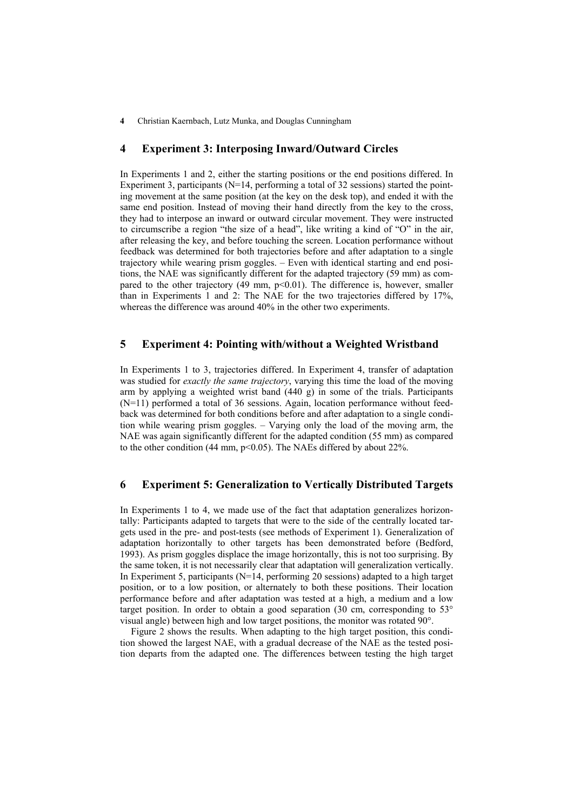**4** Christian Kaernbach, Lutz Munka, and Douglas Cunningham

#### **4 Experiment 3: Interposing Inward/Outward Circles**

In Experiments 1 and 2, either the starting positions or the end positions differed. In Experiment 3, participants (N=14, performing a total of 32 sessions) started the pointing movement at the same position (at the key on the desk top), and ended it with the same end position. Instead of moving their hand directly from the key to the cross, they had to interpose an inward or outward circular movement. They were instructed to circumscribe a region "the size of a head", like writing a kind of "O" in the air, after releasing the key, and before touching the screen. Location performance without feedback was determined for both trajectories before and after adaptation to a single trajectory while wearing prism goggles. – Even with identical starting and end positions, the NAE was significantly different for the adapted trajectory (59 mm) as compared to the other trajectory  $(49 \text{ mm}, \text{ p} < 0.01)$ . The difference is, however, smaller than in Experiments 1 and 2: The NAE for the two trajectories differed by 17%, whereas the difference was around 40% in the other two experiments.

## **5 Experiment 4: Pointing with/without a Weighted Wristband**

In Experiments 1 to 3, trajectories differed. In Experiment 4, transfer of adaptation was studied for *exactly the same trajectory*, varying this time the load of the moving arm by applying a weighted wrist band (440 g) in some of the trials. Participants (N=11) performed a total of 36 sessions. Again, location performance without feedback was determined for both conditions before and after adaptation to a single condition while wearing prism goggles. – Varying only the load of the moving arm, the NAE was again significantly different for the adapted condition (55 mm) as compared to the other condition (44 mm, p<0.05). The NAEs differed by about 22%.

### **6 Experiment 5: Generalization to Vertically Distributed Targets**

In Experiments 1 to 4, we made use of the fact that adaptation generalizes horizontally: Participants adapted to targets that were to the side of the centrally located targets used in the pre- and post-tests (see methods of Experiment 1). Generalization of adaptation horizontally to other targets has been demonstrated before (Bedford, 1993). As prism goggles displace the image horizontally, this is not too surprising. By the same token, it is not necessarily clear that adaptation will generalization vertically. In Experiment 5, participants (N=14, performing 20 sessions) adapted to a high target position, or to a low position, or alternately to both these positions. Their location performance before and after adaptation was tested at a high, a medium and a low target position. In order to obtain a good separation (30 cm, corresponding to  $53^{\circ}$ ) visual angle) between high and low target positions, the monitor was rotated 90°.

Figure 2 shows the results. When adapting to the high target position, this condition showed the largest NAE, with a gradual decrease of the NAE as the tested position departs from the adapted one. The differences between testing the high target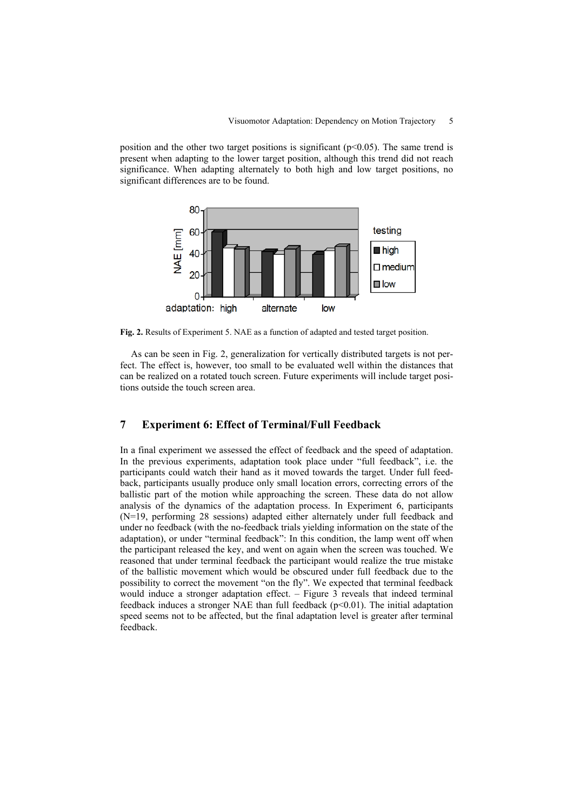position and the other two target positions is significant ( $p<0.05$ ). The same trend is present when adapting to the lower target position, although this trend did not reach significance. When adapting alternately to both high and low target positions, no significant differences are to be found.



**Fig. 2.** Results of Experiment 5. NAE as a function of adapted and tested target position.

As can be seen in Fig. 2, generalization for vertically distributed targets is not perfect. The effect is, however, too small to be evaluated well within the distances that can be realized on a rotated touch screen. Future experiments will include target positions outside the touch screen area.

#### **7 Experiment 6: Effect of Terminal/Full Feedback**

In a final experiment we assessed the effect of feedback and the speed of adaptation. In the previous experiments, adaptation took place under "full feedback", i.e. the participants could watch their hand as it moved towards the target. Under full feedback, participants usually produce only small location errors, correcting errors of the ballistic part of the motion while approaching the screen. These data do not allow analysis of the dynamics of the adaptation process. In Experiment 6, participants (N=19, performing 28 sessions) adapted either alternately under full feedback and under no feedback (with the no-feedback trials yielding information on the state of the adaptation), or under "terminal feedback": In this condition, the lamp went off when the participant released the key, and went on again when the screen was touched. We reasoned that under terminal feedback the participant would realize the true mistake of the ballistic movement which would be obscured under full feedback due to the possibility to correct the movement "on the fly". We expected that terminal feedback would induce a stronger adaptation effect. – Figure 3 reveals that indeed terminal feedback induces a stronger NAE than full feedback  $(p<0.01)$ . The initial adaptation speed seems not to be affected, but the final adaptation level is greater after terminal feedback.